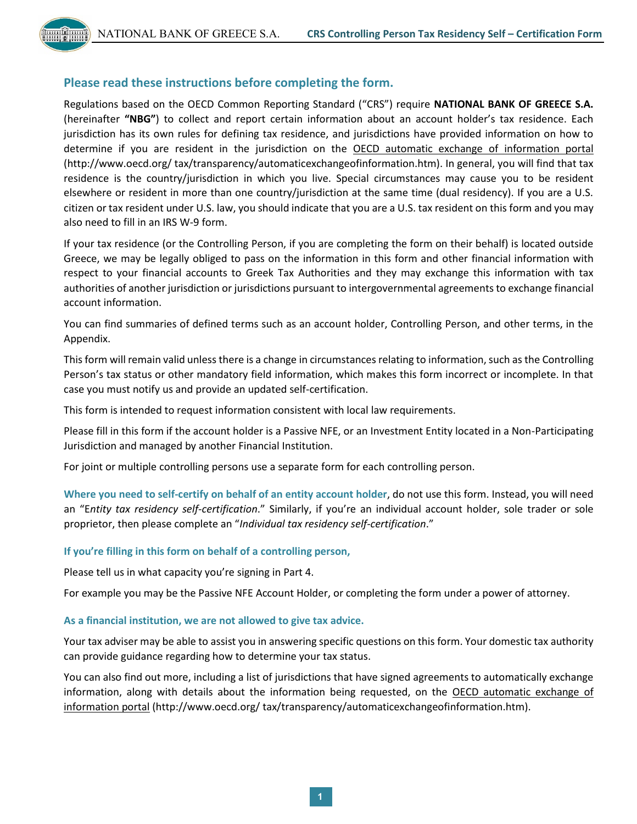### **Please read these instructions before completing the form.**

Regulations based on the OECD Common Reporting Standard ("CRS") require **NATIONAL BANK OF GREECE S.A.**  (hereinafter **"NBG"**) to collect and report certain information about an account holder's tax residence. Each jurisdiction has its own rules for defining tax residence, and jurisdictions have provided information on how to determine if you are resident in the jurisdiction on the OECD automatic exchange of information portal [\(http://www.oecd.org/](http://www.oecd.org/) tax/transparency/automaticexchangeofinformation.htm). In general, you will find that tax residence is the country/jurisdiction in which you live. Special circumstances may cause you to be resident elsewhere or resident in more than one country/jurisdiction at the same time (dual residency). If you are a U.S. citizen or tax resident under U.S. law, you should indicate that you are a U.S. tax resident on this form and you may also need to fill in an IRS W-9 form.

If your tax residence (or the Controlling Person, if you are completing the form on their behalf) is located outside Greece, we may be legally obliged to pass on the information in this form and other financial information with respect to your financial accounts to Greek Tax Authorities and they may exchange this information with tax authorities of another jurisdiction or jurisdictions pursuant to intergovernmental agreements to exchange financial account information.

You can find summaries of defined terms such as an account holder, Controlling Person, and other terms, in the Appendix.

This form will remain valid unless there is a change in circumstances relating to information, such as the Controlling Person's tax status or other mandatory field information, which makes this form incorrect or incomplete. In that case you must notify us and provide an updated self-certification.

This form is intended to request information consistent with local law requirements.

Please fill in this form if the account holder is a Passive NFE, or an Investment Entity located in a Non-Participating Jurisdiction and managed by another Financial Institution.

For joint or multiple controlling persons use a separate form for each controlling person.

**Where you need to self-certify on behalf of an entity account holder**, do not use this form. Instead, you will need an "E*ntity tax residency self-certification*." Similarly, if you're an individual account holder, sole trader or sole proprietor, then please complete an "*Individual tax residency self-certification*."

#### **If you're filling in this form on behalf of a controlling person,**

Please tell us in what capacity you're signing in Part 4.

For example you may be the Passive NFE Account Holder, or completing the form under a power of attorney.

#### **As a financial institution, we are not allowed to give tax advice.**

Your tax adviser may be able to assist you in answering specific questions on this form. Your domestic tax authority can provide guidance regarding how to determine your tax status.

You can also find out more, including a list of jurisdictions that have signed agreements to automatically exchange information, along with details about the information being requested, on the OECD automatic exchange of information portal [\(http://www.oecd.org/](http://www.oecd.org/) tax/transparency/automaticexchangeofinformation.htm).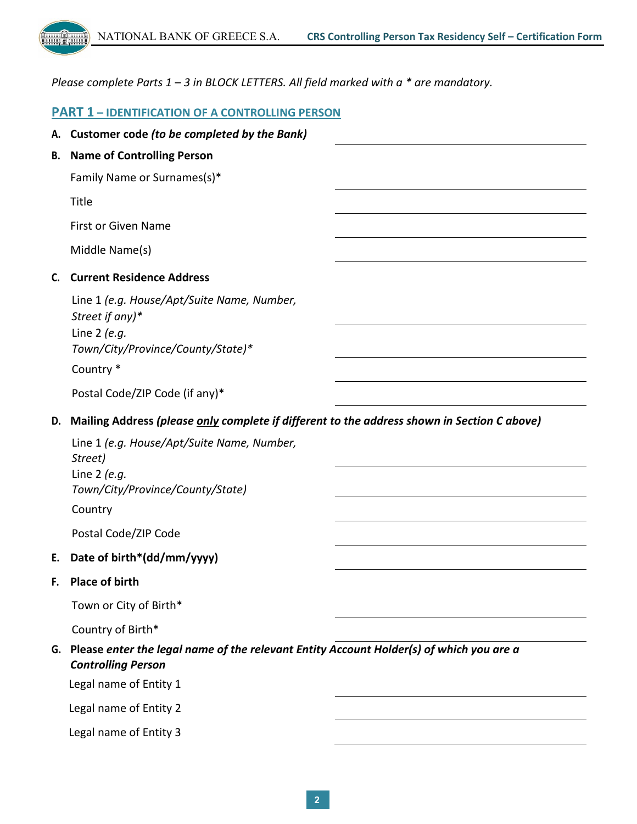

*Please complete Parts 1 – 3 in BLOCK LETTERS. All field marked with a \* are mandatory.* 

### **PART 1 – IDENTIFICATION OF A CONTROLLING PERSON**

|    | A. Customer code (to be completed by the Bank)                                                                         |  |  |
|----|------------------------------------------------------------------------------------------------------------------------|--|--|
| В. | <b>Name of Controlling Person</b>                                                                                      |  |  |
|    | Family Name or Surnames(s)*                                                                                            |  |  |
|    | Title                                                                                                                  |  |  |
|    | <b>First or Given Name</b>                                                                                             |  |  |
|    | Middle Name(s)                                                                                                         |  |  |
| C. | <b>Current Residence Address</b>                                                                                       |  |  |
|    | Line 1 (e.g. House/Apt/Suite Name, Number,<br>Street if any)*<br>Line $2$ (e.g.<br>Town/City/Province/County/State)*   |  |  |
|    | Country *                                                                                                              |  |  |
|    | Postal Code/ZIP Code (if any)*                                                                                         |  |  |
| D. | Mailing Address (please only complete if different to the address shown in Section C above)                            |  |  |
|    | Line 1 (e.g. House/Apt/Suite Name, Number,<br>Street)<br>Line $2$ (e.g.<br>Town/City/Province/County/State)<br>Country |  |  |
|    | Postal Code/ZIP Code                                                                                                   |  |  |
| Е. | Date of birth*(dd/mm/yyyy)                                                                                             |  |  |
| F. | <b>Place of birth</b>                                                                                                  |  |  |
|    | Town or City of Birth*                                                                                                 |  |  |
|    | Country of Birth*                                                                                                      |  |  |
| G. | Please enter the legal name of the relevant Entity Account Holder(s) of which you are a<br><b>Controlling Person</b>   |  |  |
|    | Legal name of Entity 1                                                                                                 |  |  |
|    | Legal name of Entity 2                                                                                                 |  |  |
|    | Legal name of Entity 3                                                                                                 |  |  |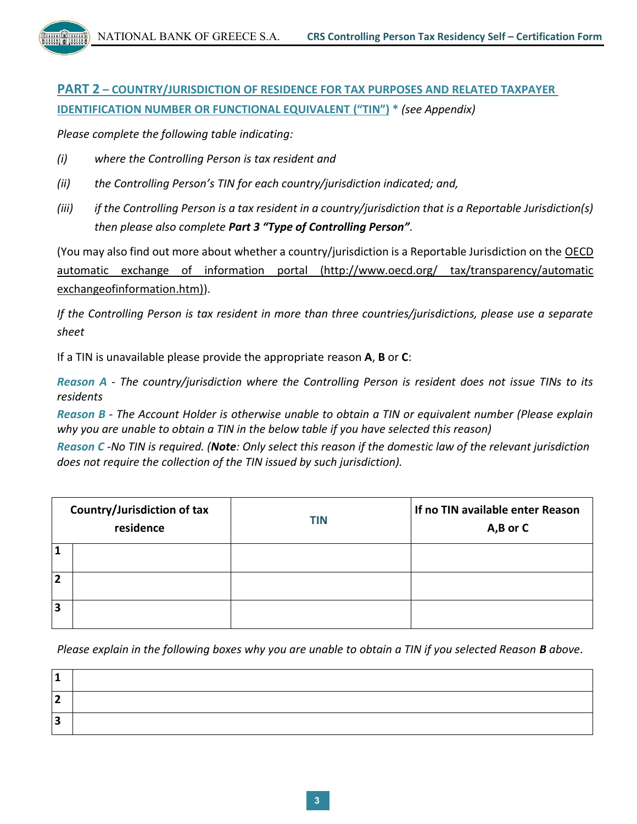NATIONAL BANK OF GREECE S.A. **CRS Controlling Person Tax Residency Self – Certification Form**

**PART 2 – COUNTRY/JURISDICTION OF RESIDENCE FOR TAX PURPOSES AND RELATED TAXPAYER IDENTIFICATION NUMBER OR FUNCTIONAL EQUIVALENT ("TIN") \*** *(see Appendix)*

*Please complete the following table indicating:*

- *(i) where the Controlling Person is tax resident and*
- *(ii) the Controlling Person's TIN for each country/jurisdiction indicated; and,*
- *(iii) if the Controlling Person is a tax resident in a country/jurisdiction that is a Reportable Jurisdiction(s) then please also complete Part 3 "Type of Controlling Person".*

(You may also find out more about whether a country/jurisdiction is a Reportable Jurisdiction on the OECD automatic exchange of information portal (http://www.oecd.org/ tax/transparency/automatic exchangeofinformation.htm)).

*If the Controlling Person is tax resident in more than three countries/jurisdictions, please use a separate sheet* 

If a TIN is unavailable please provide the appropriate reason **A**, **B** or **C**:

*Reason A - The country/jurisdiction where the Controlling Person is resident does not issue TINs to its residents* 

*Reason B - The Account Holder is otherwise unable to obtain a TIN or equivalent number (Please explain why you are unable to obtain a TIN in the below table if you have selected this reason)* 

*Reason C -No TIN is required. (Note: Only select this reason if the domestic law of the relevant jurisdiction does not require the collection of the TIN issued by such jurisdiction).* 

| Country/Jurisdiction of tax<br>residence |  | <b>TIN</b> | If no TIN available enter Reason<br>A,B or C |  |  |  |
|------------------------------------------|--|------------|----------------------------------------------|--|--|--|
|                                          |  |            |                                              |  |  |  |
| $\overline{2}$                           |  |            |                                              |  |  |  |
| $\overline{\mathbf{3}}$                  |  |            |                                              |  |  |  |

*Please explain in the following boxes why you are unable to obtain a TIN if you selected Reason B above*.

| п |  |
|---|--|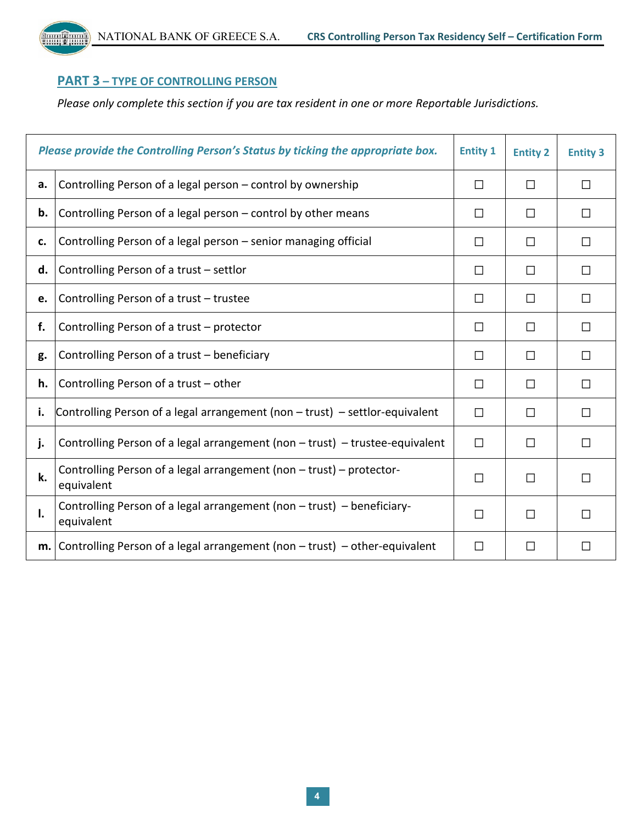NATIONAL BANK OF GREECE S.A. **CRS Controlling Person Tax Residency Self – Certification Form**

# **PART 3 – TYPE OF CONTROLLING PERSON**

*Please only complete this section if you are tax resident in one or more Reportable Jurisdictions.*

| Please provide the Controlling Person's Status by ticking the appropriate box.<br><b>Entity 1</b> |                                                                                      |        | <b>Entity 2</b> | <b>Entity 3</b> |
|---------------------------------------------------------------------------------------------------|--------------------------------------------------------------------------------------|--------|-----------------|-----------------|
| a.                                                                                                | Controlling Person of a legal person - control by ownership                          | $\Box$ | П               | П               |
| b.                                                                                                | Controlling Person of a legal person - control by other means                        | П      | П               | $\mathsf{L}$    |
| c.                                                                                                | Controlling Person of a legal person - senior managing official                      | П      | П               | $\mathsf{L}$    |
| d.                                                                                                | Controlling Person of a trust - settlor                                              | П      | П               | П               |
| e.                                                                                                | Controlling Person of a trust - trustee                                              | П      | П               | $\mathsf{L}$    |
| f.                                                                                                | Controlling Person of a trust - protector                                            | П      | П               | П               |
| g.                                                                                                | Controlling Person of a trust - beneficiary                                          | П      | П               | П               |
| h.                                                                                                | Controlling Person of a trust - other                                                | П      | П               | П               |
| i.                                                                                                | Controlling Person of a legal arrangement (non $-$ trust) $-$ settlor-equivalent     | П      | П               | П               |
| j.                                                                                                | Controlling Person of a legal arrangement (non $-$ trust) $-$ trustee-equivalent     | П      | П               | П               |
| k.                                                                                                | Controlling Person of a legal arrangement (non - trust) - protector-<br>equivalent   | П      | П               | П               |
| Ι.                                                                                                | Controlling Person of a legal arrangement (non - trust) - beneficiary-<br>equivalent | □      | П               |                 |
|                                                                                                   | $m.$ Controlling Person of a legal arrangement (non $-$ trust) – other-equivalent    | П      | □               | П               |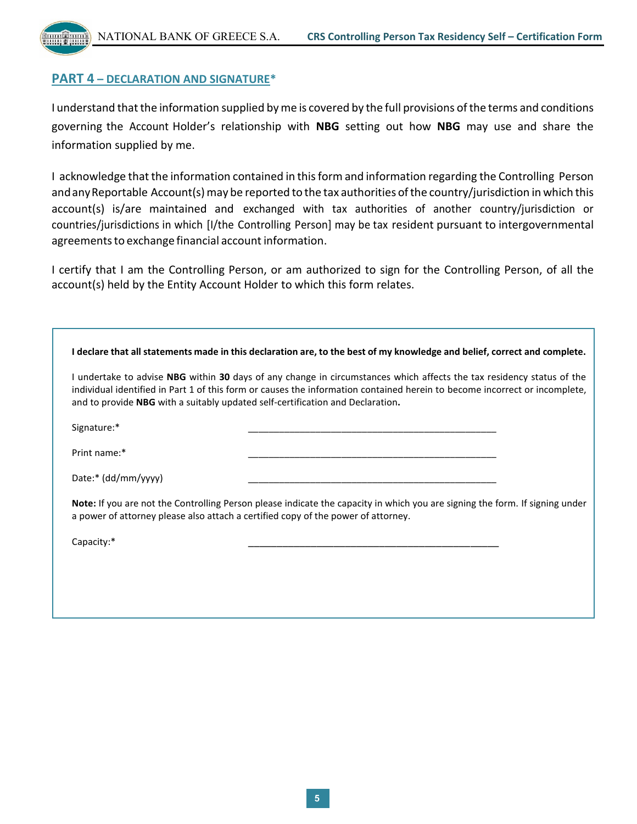## **PART 4 – DECLARATION AND SIGNATURE\***

I understand that the information supplied by me is covered by the full provisions of the terms and conditions governing the Account Holder's relationship with **NBG** setting out how **NBG** may use and share the information supplied by me.

I acknowledge that the information contained in thisform and information regarding the Controlling Person and any Reportable Account(s) may be reported to the tax authorities of the country/jurisdiction in which this account(s) is/are maintained and exchanged with tax authorities of another country/jurisdiction or countries/jurisdictions in which [I/the Controlling Person] may be tax resident pursuant to intergovernmental agreements to exchange financial account information.

I certify that I am the Controlling Person, or am authorized to sign for the Controlling Person, of all the account(s) held by the Entity Account Holder to which this form relates.

|                       | I undertake to advise NBG within 30 days of any change in circumstances which affects the tax residency status of the<br>individual identified in Part 1 of this form or causes the information contained herein to become incorrect or incomplete,<br>and to provide NBG with a suitably updated self-certification and Declaration. |
|-----------------------|---------------------------------------------------------------------------------------------------------------------------------------------------------------------------------------------------------------------------------------------------------------------------------------------------------------------------------------|
| Signature:*           |                                                                                                                                                                                                                                                                                                                                       |
| Print name:*          |                                                                                                                                                                                                                                                                                                                                       |
| Date:* $(dd/mm/yyyy)$ |                                                                                                                                                                                                                                                                                                                                       |
|                       | <b>Note:</b> If you are not the Controlling Person please indicate the capacity in which you are signing the form. If signing under<br>a power of attorney please also attach a certified copy of the power of attorney.                                                                                                              |
| Capacity:*            |                                                                                                                                                                                                                                                                                                                                       |
|                       |                                                                                                                                                                                                                                                                                                                                       |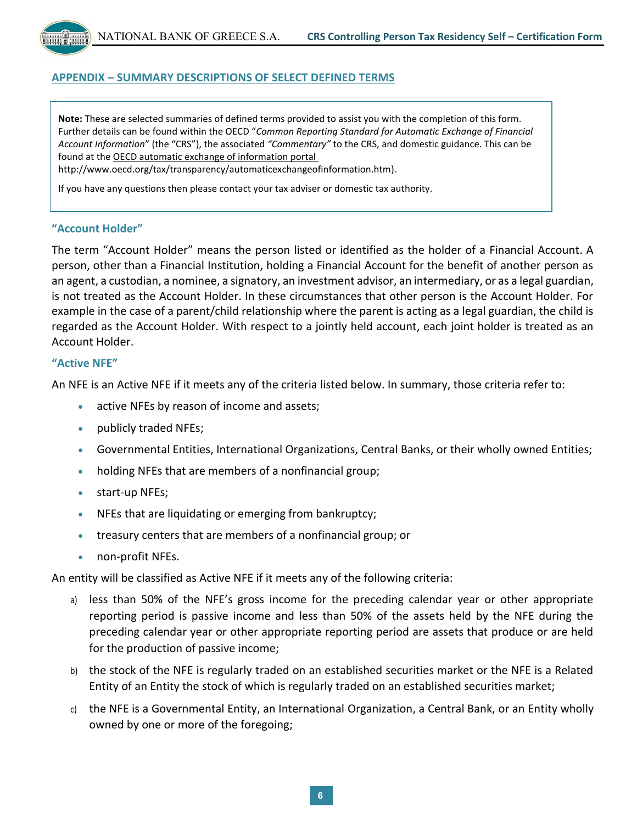NATIONAL BANK OF GREECE S.A. **CRS Controlling Person Tax Residency Self – Certification Form**

### **APPENDIX – SUMMARY DESCRIPTIONS OF SELECT DEFINED TERMS**

**Note:** These are selected summaries of defined terms provided to assist you with the completion of this form. Further details can be found within the OECD "*Common Reporting Standard for Automatic Exchange of Financial Account Information*" (the "CRS"), the associated *"Commentary"* to the CRS, and domestic guidance. This can be found at the OECD automatic exchange of information portal

http://www.oecd.org/tax/transparency/automaticexchangeofinformation.htm).

If you have any questions then please contact your tax adviser or domestic tax authority.

### **"Account Holder"**

The term "Account Holder" means the person listed or identified as the holder of a Financial Account. A person, other than a Financial Institution, holding a Financial Account for the benefit of another person as an agent, a custodian, a nominee, a signatory, an investment advisor, an intermediary, or as a legal guardian, is not treated as the Account Holder. In these circumstances that other person is the Account Holder. For example in the case of a parent/child relationship where the parent is acting as a legal guardian, the child is regarded as the Account Holder. With respect to a jointly held account, each joint holder is treated as an Account Holder.

#### **"Active NFE"**

An NFE is an Active NFE if it meets any of the criteria listed below. In summary, those criteria refer to:

- **active NFEs by reason of income and assets;**
- publicly traded NFEs;
- Governmental Entities, International Organizations, Central Banks, or their wholly owned Entities;
- holding NFEs that are members of a nonfinancial group;
- start-up NFEs;
- NFEs that are liquidating or emerging from bankruptcy;
- treasury centers that are members of a nonfinancial group; or
- non-profit NFEs.

An entity will be classified as Active NFE if it meets any of the following criteria:

- a) less than 50% of the NFE's gross income for the preceding calendar year or other appropriate reporting period is passive income and less than 50% of the assets held by the NFE during the preceding calendar year or other appropriate reporting period are assets that produce or are held for the production of passive income;
- b) the stock of the NFE is regularly traded on an established securities market or the NFE is a Related Entity of an Entity the stock of which is regularly traded on an established securities market;
- c) the NFE is a Governmental Entity, an International Organization, a Central Bank, or an Entity wholly owned by one or more of the foregoing;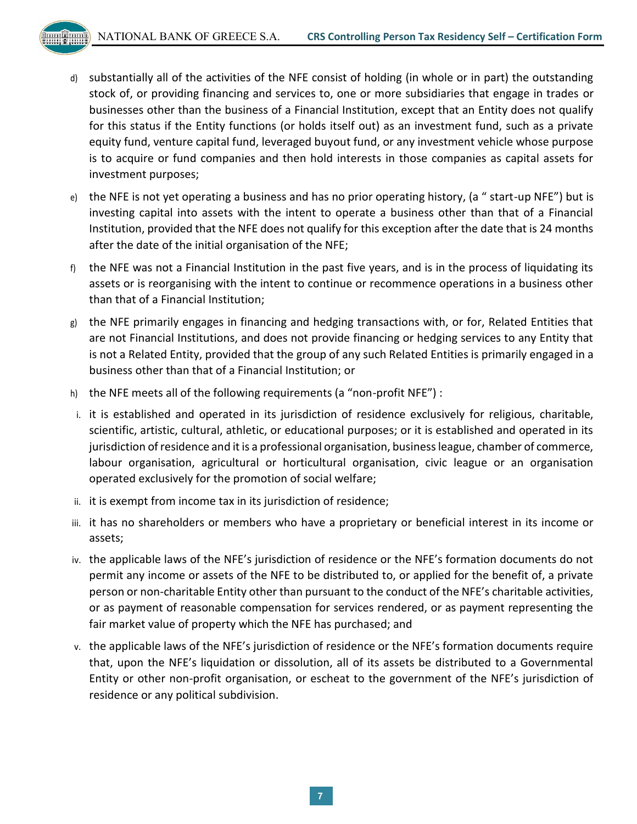- - d) substantially all of the activities of the NFE consist of holding (in whole or in part) the outstanding stock of, or providing financing and services to, one or more subsidiaries that engage in trades or businesses other than the business of a Financial Institution, except that an Entity does not qualify for this status if the Entity functions (or holds itself out) as an investment fund, such as a private equity fund, venture capital fund, leveraged buyout fund, or any investment vehicle whose purpose is to acquire or fund companies and then hold interests in those companies as capital assets for investment purposes;
	- e) the NFE is not yet operating a business and has no prior operating history, (a " start-up NFE") but is investing capital into assets with the intent to operate a business other than that of a Financial Institution, provided that the NFE does not qualify for this exception after the date that is 24 months after the date of the initial organisation of the NFE;
	- f) the NFE was not a Financial Institution in the past five years, and is in the process of liquidating its assets or is reorganising with the intent to continue or recommence operations in a business other than that of a Financial Institution;
	- g) the NFE primarily engages in financing and hedging transactions with, or for, Related Entities that are not Financial Institutions, and does not provide financing or hedging services to any Entity that is not a Related Entity, provided that the group of any such Related Entities is primarily engaged in a business other than that of a Financial Institution; or
	- h) the NFE meets all of the following requirements (a "non-profit NFE") :
	- i. it is established and operated in its jurisdiction of residence exclusively for religious, charitable, scientific, artistic, cultural, athletic, or educational purposes; or it is established and operated in its jurisdiction of residence and it is a professional organisation, business league, chamber of commerce, labour organisation, agricultural or horticultural organisation, civic league or an organisation operated exclusively for the promotion of social welfare;
	- ii. it is exempt from income tax in its jurisdiction of residence;
	- iii. it has no shareholders or members who have a proprietary or beneficial interest in its income or assets;
	- iv. the applicable laws of the NFE's jurisdiction of residence or the NFE's formation documents do not permit any income or assets of the NFE to be distributed to, or applied for the benefit of, a private person or non-charitable Entity other than pursuant to the conduct of the NFE's charitable activities, or as payment of reasonable compensation for services rendered, or as payment representing the fair market value of property which the NFE has purchased; and
	- v. the applicable laws of the NFE's jurisdiction of residence or the NFE's formation documents require that, upon the NFE's liquidation or dissolution, all of its assets be distributed to a Governmental Entity or other non-profit organisation, or escheat to the government of the NFE's jurisdiction of residence or any political subdivision.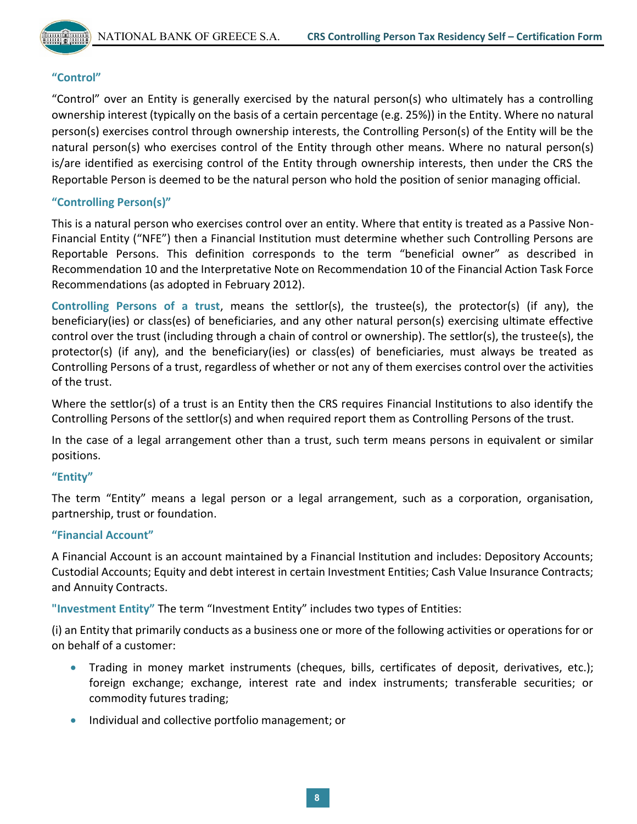

## **"Control"**

"Control" over an Entity is generally exercised by the natural person(s) who ultimately has a controlling ownership interest (typically on the basis of a certain percentage (e.g. 25%)) in the Entity. Where no natural person(s) exercises control through ownership interests, the Controlling Person(s) of the Entity will be the natural person(s) who exercises control of the Entity through other means. Where no natural person(s) is/are identified as exercising control of the Entity through ownership interests, then under the CRS the Reportable Person is deemed to be the natural person who hold the position of senior managing official.

## **"Controlling Person(s)"**

This is a natural person who exercises control over an entity. Where that entity is treated as a Passive Non-Financial Entity ("NFE") then a Financial Institution must determine whether such Controlling Persons are Reportable Persons. This definition corresponds to the term "beneficial owner" as described in Recommendation 10 and the Interpretative Note on Recommendation 10 of the Financial Action Task Force Recommendations (as adopted in February 2012).

**Controlling Persons of a trust**, means the settlor(s), the trustee(s), the protector(s) (if any), the beneficiary(ies) or class(es) of beneficiaries, and any other natural person(s) exercising ultimate effective control over the trust (including through a chain of control or ownership). The settlor(s), the trustee(s), the protector(s) (if any), and the beneficiary(ies) or class(es) of beneficiaries, must always be treated as Controlling Persons of a trust, regardless of whether or not any of them exercises control over the activities of the trust.

Where the settlor(s) of a trust is an Entity then the CRS requires Financial Institutions to also identify the Controlling Persons of the settlor(s) and when required report them as Controlling Persons of the trust.

In the case of a legal arrangement other than a trust, such term means persons in equivalent or similar positions.

## **"Entity"**

The term "Entity" means a legal person or a legal arrangement, such as a corporation, organisation, partnership, trust or foundation.

## **"Financial Account"**

A Financial Account is an account maintained by a Financial Institution and includes: Depository Accounts; Custodial Accounts; Equity and debt interest in certain Investment Entities; Cash Value Insurance Contracts; and Annuity Contracts.

**"Investment Entity"** The term "Investment Entity" includes two types of Entities:

(i) an Entity that primarily conducts as a business one or more of the following activities or operations for or on behalf of a customer:

- Trading in money market instruments (cheques, bills, certificates of deposit, derivatives, etc.); foreign exchange; exchange, interest rate and index instruments; transferable securities; or commodity futures trading;
- Individual and collective portfolio management; or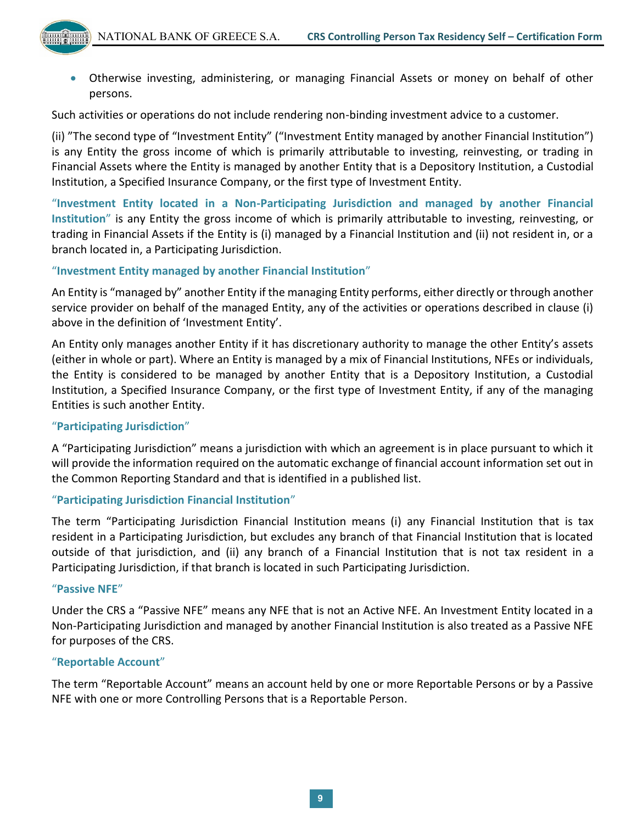Otherwise investing, administering, or managing Financial Assets or money on behalf of other persons.

Such activities or operations do not include rendering non-binding investment advice to a customer.

(ii) "The second type of "Investment Entity" ("Investment Entity managed by another Financial Institution") is any Entity the gross income of which is primarily attributable to investing, reinvesting, or trading in Financial Assets where the Entity is managed by another Entity that is a Depository Institution, a Custodial Institution, a Specified Insurance Company, or the first type of Investment Entity.

"**Investment Entity located in a Non-Participating Jurisdiction and managed by another Financial Institution**" is any Entity the gross income of which is primarily attributable to investing, reinvesting, or trading in Financial Assets if the Entity is (i) managed by a Financial Institution and (ii) not resident in, or a branch located in, a Participating Jurisdiction.

## "**Investment Entity managed by another Financial Institution**"

An Entity is "managed by" another Entity if the managing Entity performs, either directly or through another service provider on behalf of the managed Entity, any of the activities or operations described in clause (i) above in the definition of 'Investment Entity'.

An Entity only manages another Entity if it has discretionary authority to manage the other Entity's assets (either in whole or part). Where an Entity is managed by a mix of Financial Institutions, NFEs or individuals, the Entity is considered to be managed by another Entity that is a Depository Institution, a Custodial Institution, a Specified Insurance Company, or the first type of Investment Entity, if any of the managing Entities is such another Entity.

## "**Participating Jurisdiction**"

A "Participating Jurisdiction" means a jurisdiction with which an agreement is in place pursuant to which it will provide the information required on the automatic exchange of financial account information set out in the Common Reporting Standard and that is identified in a published list.

## "**Participating Jurisdiction Financial Institution**"

The term "Participating Jurisdiction Financial Institution means (i) any Financial Institution that is tax resident in a Participating Jurisdiction, but excludes any branch of that Financial Institution that is located outside of that jurisdiction, and (ii) any branch of a Financial Institution that is not tax resident in a Participating Jurisdiction, if that branch is located in such Participating Jurisdiction.

## "**Passive NFE**"

Under the CRS a "Passive NFE" means any NFE that is not an Active NFE. An Investment Entity located in a Non-Participating Jurisdiction and managed by another Financial Institution is also treated as a Passive NFE for purposes of the CRS.

## "**Reportable Account**"

The term "Reportable Account" means an account held by one or more Reportable Persons or by a Passive NFE with one or more Controlling Persons that is a Reportable Person.